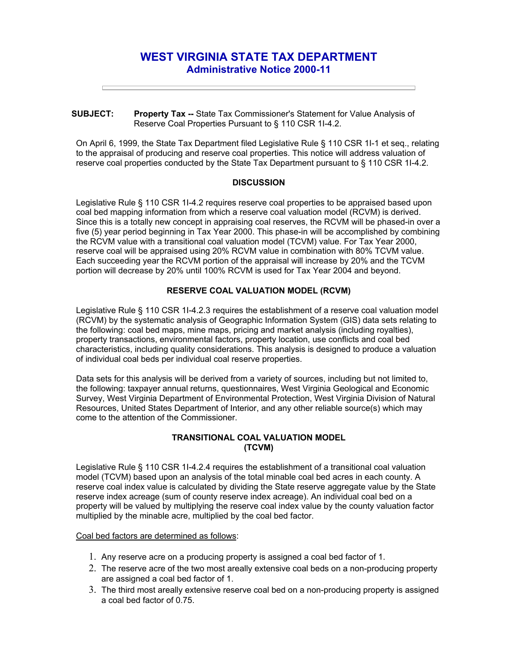# **WEST VIRGINIA STATE TAX DEPARTMENT Administrative Notice 2000-11**

#### **SUBJECT: Property Tax --** State Tax Commissioner's Statement for Value Analysis of Reserve Coal Properties Pursuant to § 110 CSR 1I-4.2.

On April 6, 1999, the State Tax Department filed Legislative Rule § 110 CSR 1I-1 et seq., relating to the appraisal of producing and reserve coal properties. This notice will address valuation of reserve coal properties conducted by the State Tax Department pursuant to § 110 CSR 1I-4.2.

### **DISCUSSION**

Legislative Rule § 110 CSR 1I-4.2 requires reserve coal properties to be appraised based upon coal bed mapping information from which a reserve coal valuation model (RCVM) is derived. Since this is a totally new concept in appraising coal reserves, the RCVM will be phased-in over a five (5) year period beginning in Tax Year 2000. This phase-in will be accomplished by combining the RCVM value with a transitional coal valuation model (TCVM) value. For Tax Year 2000, reserve coal will be appraised using 20% RCVM value in combination with 80% TCVM value. Each succeeding year the RCVM portion of the appraisal will increase by 20% and the TCVM portion will decrease by 20% until 100% RCVM is used for Tax Year 2004 and beyond.

## **RESERVE COAL VALUATION MODEL (RCVM)**

Legislative Rule § 110 CSR 1I-4.2.3 requires the establishment of a reserve coal valuation model (RCVM) by the systematic analysis of Geographic Information System (GIS) data sets relating to the following: coal bed maps, mine maps, pricing and market analysis (including royalties), property transactions, environmental factors, property location, use conflicts and coal bed characteristics, including quality considerations. This analysis is designed to produce a valuation of individual coal beds per individual coal reserve properties.

Data sets for this analysis will be derived from a variety of sources, including but not limited to, the following: taxpayer annual returns, questionnaires, West Virginia Geological and Economic Survey, West Virginia Department of Environmental Protection, West Virginia Division of Natural Resources, United States Department of Interior, and any other reliable source(s) which may come to the attention of the Commissioner.

## **TRANSITIONAL COAL VALUATION MODEL (TCVM)**

Legislative Rule § 110 CSR 1I-4.2.4 requires the establishment of a transitional coal valuation model (TCVM) based upon an analysis of the total minable coal bed acres in each county. A reserve coal index value is calculated by dividing the State reserve aggregate value by the State reserve index acreage (sum of county reserve index acreage). An individual coal bed on a property will be valued by multiplying the reserve coal index value by the county valuation factor multiplied by the minable acre, multiplied by the coal bed factor.

Coal bed factors are determined as follows:

- 1. Any reserve acre on a producing property is assigned a coal bed factor of 1.
- 2. The reserve acre of the two most areally extensive coal beds on a non-producing property are assigned a coal bed factor of 1.
- 3. The third most areally extensive reserve coal bed on a non-producing property is assigned a coal bed factor of 0.75.